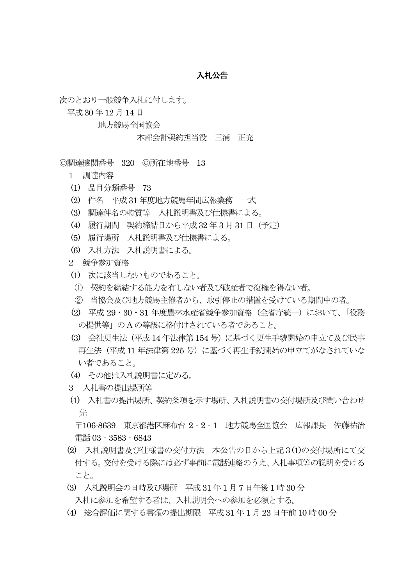## 入札公告

次のとおり一般競争入札に付します。

平成 30 年12 月14 日

地方競馬全国協会

本部会計契約担当役 三浦 正充

◎調達機関番号 320 ◎所在地番号 13

1 調達内容

- (1) 品目分類番号 73
- (2) 件名 平成31 年度地方競馬年間広報業務 一式
- (3) 調達件名の特質等 入札説明書及び仕様書による。
- (4) 履行期間 契約締結日から平成32 年 3 月31 日(予定)
- (5) 履行場所 入札説明書及び仕様書による。
- (6) 入札方法 入札説明書による。

2 競争参加資格

- (1) 次に該当しないものであること。
- ① 契約を締結する能力を有しない者及び破産者で復権を得ない者。
- ② 当協会及び地方競馬主催者から、取引停止の措置を受けている期間中の者。
- (2) 平成 29・30・31 年度農林水産省競争参加資格(全省庁統一)において、「役務 の提供等」の A の等級に格付けされている者であること。
- (3) 会社更生法(平成14 年法律第154 号)に基づく更生手続開始の申立て及び民事 再生法(平成 11 年法律第 225 号)に基づく再生手続開始の申立てがなされていな い者であること。
- (4) その他は入札説明書に定める。
- 3 入札書の提出場所等
- (1) 入札書の提出場所、契約条項を示す場所、入札説明書の交付場所及び問い合わせ 先

 〒106-8639 東京都港区麻布台 2‐2‐1 地方競馬全国協会 広報課長 佐藤祐治 電話03‐3583‐6843

- (2) 入札説明書及び仕様書の交付方法 本公告の日から上記3(1)の交付場所にて交 付する。交付を受ける際には必ず事前に電話連絡のうえ、入札事項等の説明を受ける こと。
- (3) 入札説明会の日時及び場所 平成31 年1 月7 日午後 1 時30 分 入札に参加を希望する者は、入札説明会への参加を必須とする。
- (4) 総合評価に関する書類の提出期限 平成31 年 1 月23 日午前10 時00 分